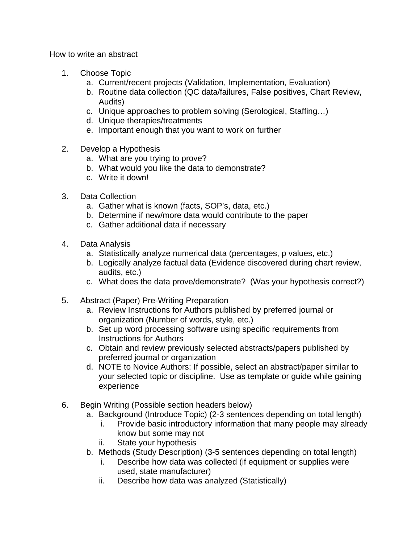How to write an abstract

- 1. Choose Topic
	- a. Current/recent projects (Validation, Implementation, Evaluation)
	- b. Routine data collection (QC data/failures, False positives, Chart Review, Audits)
	- c. Unique approaches to problem solving (Serological, Staffing…)
	- d. Unique therapies/treatments
	- e. Important enough that you want to work on further
- 2. Develop a Hypothesis
	- a. What are you trying to prove?
	- b. What would you like the data to demonstrate?
	- c. Write it down!
- 3. Data Collection
	- a. Gather what is known (facts, SOP's, data, etc.)
	- b. Determine if new/more data would contribute to the paper
	- c. Gather additional data if necessary
- 4. Data Analysis
	- a. Statistically analyze numerical data (percentages, p values, etc.)
	- b. Logically analyze factual data (Evidence discovered during chart review, audits, etc.)
	- c. What does the data prove/demonstrate? (Was your hypothesis correct?)
- 5. Abstract (Paper) Pre-Writing Preparation
	- a. Review Instructions for Authors published by preferred journal or organization (Number of words, style, etc.)
	- b. Set up word processing software using specific requirements from Instructions for Authors
	- c. Obtain and review previously selected abstracts/papers published by preferred journal or organization
	- d. NOTE to Novice Authors: If possible, select an abstract/paper similar to your selected topic or discipline. Use as template or guide while gaining experience
- 6. Begin Writing (Possible section headers below)
	- a. Background (Introduce Topic) (2-3 sentences depending on total length)
		- i. Provide basic introductory information that many people may already know but some may not
		- ii. State your hypothesis
	- b. Methods (Study Description) (3-5 sentences depending on total length)
		- i. Describe how data was collected (if equipment or supplies were used, state manufacturer)
		- ii. Describe how data was analyzed (Statistically)